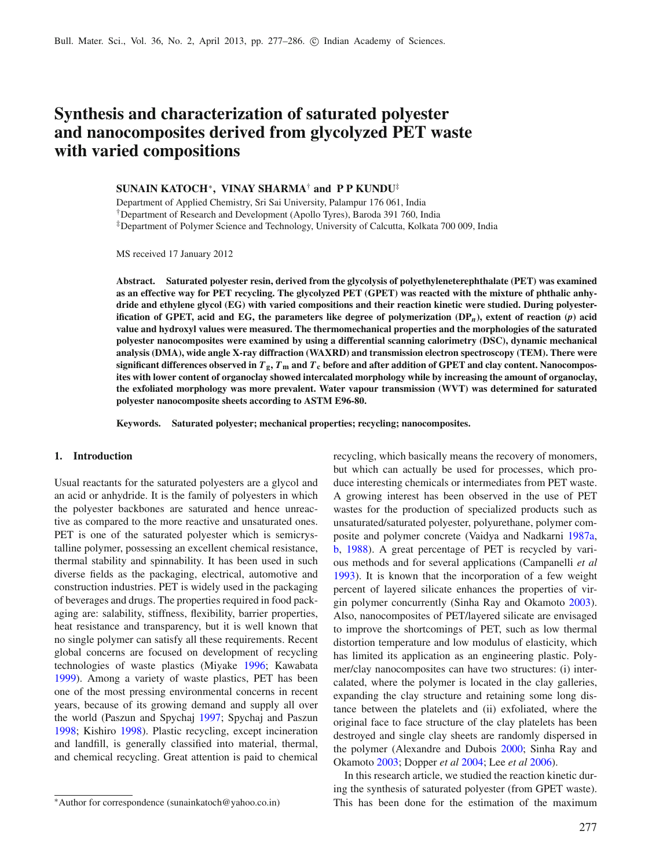# **Synthesis and characterization of saturated polyester and nanocomposites derived from glycolyzed PET waste with varied compositions**

# **SUNAIN KATOCH**<sup>∗</sup>**, VINAY SHARMA**† **and P P KUNDU**‡

Department of Applied Chemistry, Sri Sai University, Palampur 176 061, India †Department of Research and Development (Apollo Tyres), Baroda 391 760, India ‡Department of Polymer Science and Technology, University of Calcutta, Kolkata 700 009, India

MS received 17 January 2012

**Abstract. Saturated polyester resin, derived from the glycolysis of polyethyleneterephthalate (PET) was examined as an effective way for PET recycling. The glycolyzed PET (GPET) was reacted with the mixture of phthalic anhydride and ethylene glycol (EG) with varied compositions and their reaction kinetic were studied. During polyesterification of GPET, acid and EG, the parameters like degree of polymerization**  $(DP_n)$ **, extent of reaction**  $(p)$  **acid value and hydroxyl values were measured. The thermomechanical properties and the morphologies of the saturated polyester nanocomposites were examined by using a differential scanning calorimetry (DSC), dynamic mechanical analysis (DMA), wide angle X-ray diffraction (WAXRD) and transmission electron spectroscopy (TEM). There were** significant differences observed in  $T_g$ ,  $T_m$  and  $T_c$  before and after addition of GPET and clay content. Nanocompos**ites with lower content of organoclay showed intercalated morphology while by increasing the amount of organoclay, the exfoliated morphology was more prevalent. Water vapour transmission (WVT) was determined for saturated polyester nanocomposite sheets according to ASTM E96-80.**

**Keywords. Saturated polyester; mechanical properties; recycling; nanocomposites.**

#### **1. Introduction**

Usual reactants for the saturated polyesters are a glycol and an acid or anhydride. It is the family of polyesters in which the polyester backbones are saturated and hence unreactive as compared to the more reactive and unsaturated ones. PET is one of the saturated polyester which is semicrystalline polymer, possessing an excellent chemical resistance, thermal stability and spinnability. It has been used in such diverse fields as the packaging, electrical, automotive and construction industries. PET is widely used in the packaging of beverages and drugs. The properties required in food packaging are: salability, stiffness, flexibility, barrier properties, heat resistance and transparency, but it is well known that no single polymer can satisfy all these requirements. Recent global concerns are focused on development of recycling technologies of waste plastics (Miyak[e](#page-9-0) [1996;](#page-9-0) Kawabat[a](#page-9-1) [1999\)](#page-9-1). Among a variety of waste plastics, PET has been one of the most pressing environmental concerns in recent years, because of its growing demand and supply all over the world (Paszun and Spycha[j](#page-9-2) [1997;](#page-9-2) Spychaj and Paszu[n](#page-9-3) [1998;](#page-9-3) Kishir[o](#page-9-4) [1998\)](#page-9-4). Plastic recycling, except incineration and landfill, is generally classified into material, thermal, and chemical recycling. Great attention is paid to chemical recycling, which basically means the recovery of monomers, but which can actually be used for processes, which produce interesting chemicals or intermediates from PET waste. A growing interest has been observed in the use of PET wastes for the production of specialized products such as unsaturated/saturated polyester, polyurethane, polymer composite and polymer concrete (Vaidya and Nadkarni [1987a](#page-9-5), [b,](#page-9-6) [1988](#page-9-7)). A great percentage of PET is recycled by various methods and for several applications (Campanelli *et a[l](#page-9-8)* [1993\)](#page-9-8). It is known that the incorporation of a few weight percent of layered silicate enhances the properties of virgin polymer concurrently (Sinha Ray and Okamot[o](#page-9-9) [2003\)](#page-9-9). Also, nanocomposites of PET/layered silicate are envisaged to improve the shortcomings of PET, such as low thermal distortion temperature and low modulus of elasticity, which has limited its application as an engineering plastic. Polymer/clay nanocomposites can have two structures: (i) intercalated, where the polymer is located in the clay galleries, expanding the clay structure and retaining some long distance between the platelets and (ii) exfoliated, where the original face to face structure of the clay platelets has been destroyed and single clay sheets are randomly dispersed in the polymer (Alexandre and Duboi[s](#page-9-10) [2000;](#page-9-10) Sinha Ray and Okamot[o](#page-9-9) [2003](#page-9-9); Dopper *et a[l](#page-9-11)* [2004;](#page-9-11) Lee *et a[l](#page-9-12)* [2006](#page-9-12)).

In this research article, we studied the reaction kinetic during the synthesis of saturated polyester (from GPET waste). This has been done for the estimation of the maximum

<sup>∗</sup>Author for correspondence (sunainkatoch@yahoo.co.in)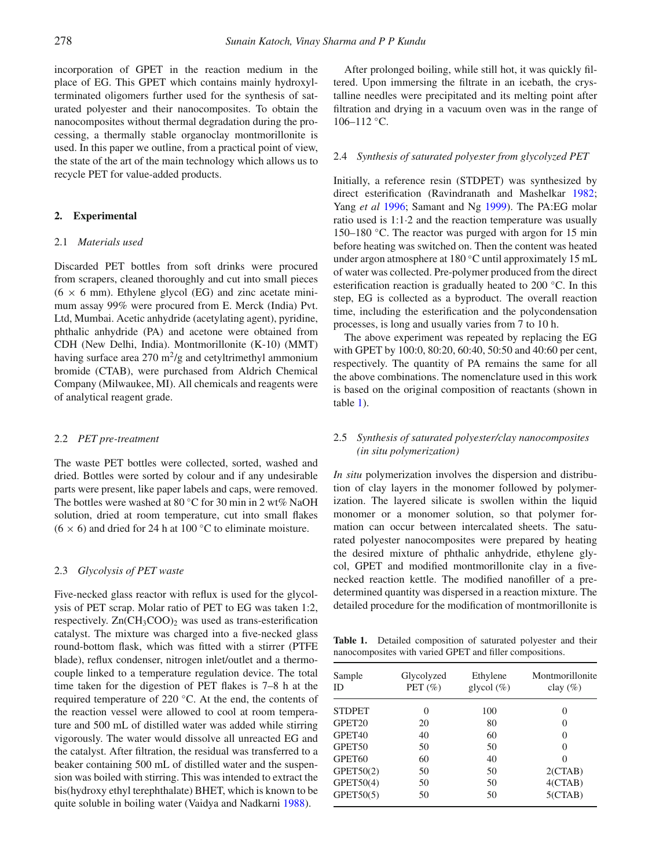incorporation of GPET in the reaction medium in the place of EG. This GPET which contains mainly hydroxylterminated oligomers further used for the synthesis of saturated polyester and their nanocomposites. To obtain the nanocomposites without thermal degradation during the processing, a thermally stable organoclay montmorillonite is used. In this paper we outline, from a practical point of view, the state of the art of the main technology which allows us to recycle PET for value-added products.

# **2. Experimental**

#### 2.1 *Materials used*

Discarded PET bottles from soft drinks were procured from scrapers, cleaned thoroughly and cut into small pieces  $(6 \times 6 \text{ mm})$ . Ethylene glycol (EG) and zinc acetate minimum assay 99% were procured from E. Merck (India) Pvt. Ltd, Mumbai. Acetic anhydride (acetylating agent), pyridine, phthalic anhydride (PA) and acetone were obtained from CDH (New Delhi, India). Montmorillonite (K-10) (MMT) having surface area  $270 \text{ m}^2/\text{g}$  and cetyltrimethyl ammonium bromide (CTAB), were purchased from Aldrich Chemical Company (Milwaukee, MI). All chemicals and reagents were of analytical reagent grade.

#### 2.2 *PET pre-treatment*

The waste PET bottles were collected, sorted, washed and dried. Bottles were sorted by colour and if any undesirable parts were present, like paper labels and caps, were removed. The bottles were washed at 80 ◦C for 30 min in 2 wt% NaOH solution, dried at room temperature, cut into small flakes  $(6 \times 6)$  and dried for 24 h at 100 °C to eliminate moisture.

## 2.3 *Glycolysis of PET waste*

Five-necked glass reactor with reflux is used for the glycolysis of PET scrap. Molar ratio of PET to EG was taken 1:2, respectively.  $Zn(CH_3COO)_2$  was used as trans-esterification catalyst. The mixture was charged into a five-necked glass round-bottom flask, which was fitted with a stirrer (PTFE blade), reflux condenser, nitrogen inlet/outlet and a thermocouple linked to a temperature regulation device. The total time taken for the digestion of PET flakes is 7–8 h at the required temperature of 220 ◦C. At the end, the contents of the reaction vessel were allowed to cool at room temperature and 500 mL of distilled water was added while stirring vigorously. The water would dissolve all unreacted EG and the catalyst. After filtration, the residual was transferred to a beaker containing 500 mL of distilled water and the suspension was boiled with stirring. This was intended to extract the bis(hydroxy ethyl terephthalate) BHET, which is known to be quite soluble in boiling water (Vaidya and Nadkarn[i](#page-9-7) [1988\)](#page-9-7).

After prolonged boiling, while still hot, it was quickly filtered. Upon immersing the filtrate in an icebath, the crystalline needles were precipitated and its melting point after filtration and drying in a vacuum oven was in the range of 106–112 ◦C.

# 2.4 *Synthesis of saturated polyester from glycolyzed PET*

Initially, a reference resin (STDPET) was synthesized by direct esterification (Ravindranath and Mashelka[r](#page-9-13) [1982;](#page-9-13) Yan[g](#page-9-15) *et a[l](#page-9-14)* [1996](#page-9-14); Samant and Ng [1999](#page-9-15)). The PA:EG molar ratio used is 1:1·2 and the reaction temperature was usually 150–180 ◦C. The reactor was purged with argon for 15 min before heating was switched on. Then the content was heated under argon atmosphere at 180 ◦C until approximately 15 mL of water was collected. Pre-polymer produced from the direct esterification reaction is gradually heated to 200 ◦C. In this step, EG is collected as a byproduct. The overall reaction time, including the esterification and the polycondensation processes, is long and usually varies from 7 to 10 h.

The above experiment was repeated by replacing the EG with GPET by 100:0, 80:20, 60:40, 50:50 and 40:60 per cent, respectively. The quantity of PA remains the same for all the above combinations. The nomenclature used in this work is based on the original composition of reactants (shown in table [1\)](#page-1-0).

# 2.5 *Synthesis of saturated polyester/clay nanocomposites (in situ polymerization)*

*In situ* polymerization involves the dispersion and distribution of clay layers in the monomer followed by polymerization. The layered silicate is swollen within the liquid monomer or a monomer solution, so that polymer formation can occur between intercalated sheets. The saturated polyester nanocomposites were prepared by heating the desired mixture of phthalic anhydride, ethylene glycol, GPET and modified montmorillonite clay in a fivenecked reaction kettle. The modified nanofiller of a predetermined quantity was dispersed in a reaction mixture. The detailed procedure for the modification of montmorillonite is

<span id="page-1-0"></span>**Table 1.** Detailed composition of saturated polyester and their nanocomposites with varied GPET and filler compositions.

| Sample<br><b>ID</b> | Glycolyzed<br>PET $(\% )$ | Ethylene<br>glycol $(\%)$ | Montmorillonite<br>clay $(\% )$ |
|---------------------|---------------------------|---------------------------|---------------------------------|
| <b>STDPET</b>       | 0                         | 100                       | 0                               |
| GPET <sub>20</sub>  | 20                        | 80                        | 0                               |
| GPET <sub>40</sub>  | 40                        | 60                        | 0                               |
| GPET50              | 50                        | 50                        | 0                               |
| GPET <sub>60</sub>  | 60                        | 40                        | 0                               |
| GPET50(2)           | 50                        | 50                        | 2(CTAB)                         |
| GPET50(4)           | 50                        | 50                        | $4$ (CTAB)                      |
| GPET50(5)           | 50                        | 50                        | 5(CTAB)                         |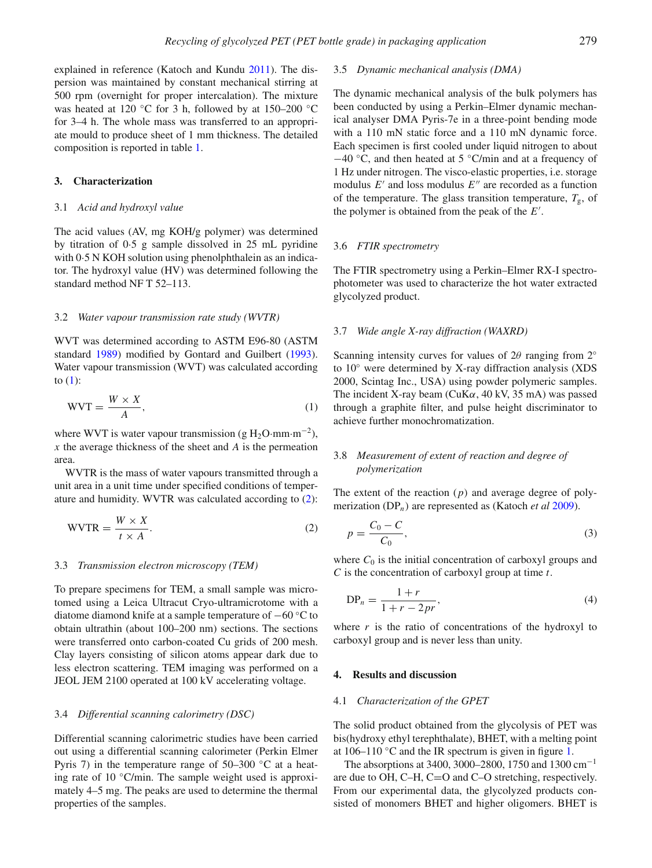explained in reference (Katoch and Kund[u](#page-9-16) [2011](#page-9-16)). The dispersion was maintained by constant mechanical stirring at 500 rpm (overnight for proper intercalation). The mixture was heated at 120 ◦C for 3 h, followed by at 150–200 ◦C for 3–4 h. The whole mass was transferred to an appropriate mould to produce sheet of 1 mm thickness. The detailed composition is reported in table [1.](#page-1-0)

#### **3. Characterization**

# 3.1 *Acid and hydroxyl value*

The acid values (AV, mg KOH/g polymer) was determined by titration of 0·5 g sample dissolved in 25 mL pyridine with 0.5 N KOH solution using phenolphthalein as an indicator. The hydroxyl value (HV) was determined following the standard method NF T 52–113.

#### 3.2 *Water vapour transmission rate study (WVTR)*

WVT was determined according to ASTM E96-80 (ASTM standard [1989](#page-9-17)) modified by Gontard and Guilber[t](#page-9-18) [\(1993\)](#page-9-18). Water vapour transmission (WVT) was calculated according to  $(1)$ :

<span id="page-2-0"></span>
$$
WVT = \frac{W \times X}{A},\tag{1}
$$

where WVT is water vapour transmission (g H<sub>2</sub>O·mm·m<sup>-2</sup>), *x* the average thickness of the sheet and *A* is the permeation area.

WVTR is the mass of water vapours transmitted through a unit area in a unit time under specified conditions of temperature and humidity. WVTR was calculated according to [\(2\)](#page-2-1):

<span id="page-2-1"></span>
$$
WVTR = \frac{W \times X}{t \times A}.
$$
 (2)

#### 3.3 *Transmission electron microscopy (TEM)*

To prepare specimens for TEM, a small sample was microtomed using a Leica Ultracut Cryo-ultramicrotome with a diatome diamond knife at a sample temperature of −60 ◦C to obtain ultrathin (about 100–200 nm) sections. The sections were transferred onto carbon-coated Cu grids of 200 mesh. Clay layers consisting of silicon atoms appear dark due to less electron scattering. TEM imaging was performed on a JEOL JEM 2100 operated at 100 kV accelerating voltage.

#### 3.4 *Differential scanning calorimetry (DSC)*

Differential scanning calorimetric studies have been carried out using a differential scanning calorimeter (Perkin Elmer Pyris 7) in the temperature range of 50–300 ◦C at a heating rate of 10  $\degree$ C/min. The sample weight used is approximately 4–5 mg. The peaks are used to determine the thermal properties of the samples.

## 3.5 *Dynamic mechanical analysis (DMA)*

The dynamic mechanical analysis of the bulk polymers has been conducted by using a Perkin–Elmer dynamic mechanical analyser DMA Pyris-7e in a three-point bending mode with a 110 mN static force and a 110 mN dynamic force. Each specimen is first cooled under liquid nitrogen to about −40 ◦C, and then heated at 5 ◦C/min and at a frequency of 1 Hz under nitrogen. The visco-elastic properties, i.e. storage modulus  $E'$  and loss modulus  $E''$  are recorded as a function of the temperature. The glass transition temperature,  $T_g$ , of the polymer is obtained from the peak of the *E* .

# 3.6 *FTIR spectrometry*

The FTIR spectrometry using a Perkin–Elmer RX-I spectrophotometer was used to characterize the hot water extracted glycolyzed product.

#### 3.7 *Wide angle X-ray diffraction (WAXRD)*

Scanning intensity curves for values of  $2\theta$  ranging from  $2^\circ$ to 10◦ were determined by X-ray diffraction analysis (XDS 2000, Scintag Inc., USA) using powder polymeric samples. The incident X-ray beam ( $CuKa$ , 40 kV, 35 mA) was passed through a graphite filter, and pulse height discriminator to achieve further monochromatization.

# 3.8 *Measurement of extent of reaction and degree of polymerization*

The extent of the reaction (*p*) and average degree of polymerization (DP*n*) are represented as (Katoch *et a[l](#page-9-19)* [2009\)](#page-9-19).

<span id="page-2-2"></span>
$$
p = \frac{C_0 - C}{C_0},\tag{3}
$$

where  $C_0$  is the initial concentration of carboxyl groups and *C* is the concentration of carboxyl group at time *t*.

<span id="page-2-3"></span>
$$
DP_n = \frac{1+r}{1+r-2pr},\tag{4}
$$

where  $r$  is the ratio of concentrations of the hydroxyl to carboxyl group and is never less than unity.

# **4. Results and discussion**

#### 4.1 *Characterization of the GPET*

The solid product obtained from the glycolysis of PET was bis(hydroxy ethyl terephthalate), BHET, with a melting point at  $106-110$  °C and the IR spectrum is given in figure [1.](#page-3-0)

The absorptions at 3400, 3000–2800, 1750 and 1300 cm<sup>-1</sup> are due to OH, C–H, C=O and C–O stretching, respectively. From our experimental data, the glycolyzed products consisted of monomers BHET and higher oligomers. BHET is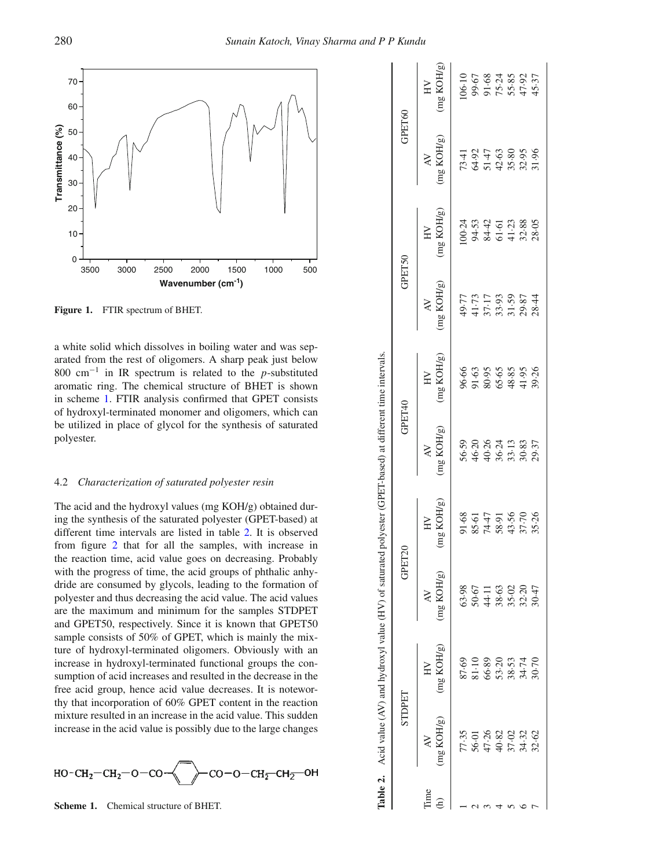<span id="page-3-0"></span>

**Figure 1.** FTIR spectrum of BHET.

a white solid which dissolves in boiling water and was separated from the rest of oligomers. A sharp peak just below 800 cm<sup>−</sup><sup>1</sup> in IR spectrum is related to the *p*-substituted aromatic ring. The chemical structure of BHET is shown in scheme [1.](#page-3-1) FTIR analysis confirmed that GPET consists of hydroxyl-terminated monomer and oligomers, which can be utilized in place of glycol for the synthesis of saturated polyester.

#### 4.2 *Characterization of saturated polyester resin*

The acid and the hydroxyl values (mg KOH/g) obtained during the synthesis of the saturated polyester (GPET-based) at different time intervals are listed in table [2.](#page-3-2) It is observed from figure [2](#page-4-0) that for all the samples, with increase in the reaction time, acid value goes on decreasing. Probably with the progress of time, the acid groups of phthalic anhydride are consumed by glycols, leading to the formation of polyester and thus decreasing the acid value. The acid values are the maximum and minimum for the samples STDPET and GPET50, respectively. Since it is known that GPET50 sample consists of 50% of GPET, which is mainly the mixture of hydroxyl-terminated oligomers. Obviously with an increase in hydroxyl-terminated functional groups the consumption of acid increases and resulted in the decrease in the free acid group, hence acid value decreases. It is noteworthy that incorporation of 60% GPET content in the reaction mixture resulted in an increase in the acid value. This sudden increase in the acid value is possibly due to the large changes

<span id="page-3-2"></span><span id="page-3-1"></span>
$$
HO - CH_2 - CH_2 - O - CO - \sqrt{C} + CO - O - CH_2 - CH_2 - OH
$$

**Scheme 1.** Chemical structure of BHET.

|      |                                               |                                                                                                                                                                                                                                                                                                       |                                                                | Table 2. Acid value (AV) and hydroxyl value (HV) of saturated polyester (GPET-based) at different time intervals. |                                              |                                              |                                                                |                                                                                      |                                                                     |                                                                   |
|------|-----------------------------------------------|-------------------------------------------------------------------------------------------------------------------------------------------------------------------------------------------------------------------------------------------------------------------------------------------------------|----------------------------------------------------------------|-------------------------------------------------------------------------------------------------------------------|----------------------------------------------|----------------------------------------------|----------------------------------------------------------------|--------------------------------------------------------------------------------------|---------------------------------------------------------------------|-------------------------------------------------------------------|
|      | <b>STDPET</b>                                 |                                                                                                                                                                                                                                                                                                       | GPET <sub>20</sub>                                             |                                                                                                                   | GPET40                                       |                                              | GPET50                                                         |                                                                                      | GPET60                                                              |                                                                   |
| Time | $\left(5\mathrm{HOP}\right)$ au.<br>$\lambda$ | (mg KOH/g)<br>$\geq$                                                                                                                                                                                                                                                                                  | (mg KOH/g)<br>$\overline{A}$                                   | (mg KOH/g)<br>$\geq$                                                                                              | mg KOH/g)<br>$\lambda$                       | $\mathop{\rm mg}\nolimits$ KOH/g)<br>$\geq$  | mg KOH/g)<br>$\aleph$                                          | mg KOH/g)<br>$\geq$                                                                  | $\mathrm{^{(3}HOH)^{3}m}$ .<br>$\lambda$                            | $\begin{array}{c} \mathrm{HV} \\ \mathrm{(mg~KOH/g)} \end{array}$ |
|      |                                               |                                                                                                                                                                                                                                                                                                       |                                                                |                                                                                                                   |                                              |                                              |                                                                |                                                                                      |                                                                     |                                                                   |
|      |                                               |                                                                                                                                                                                                                                                                                                       |                                                                |                                                                                                                   |                                              |                                              |                                                                |                                                                                      |                                                                     |                                                                   |
|      | 77.35<br>56.01<br>40.82<br>40.82<br>32.62     | $\begin{array}{l} 69 \\ 81.10 \\ 86.89 \\ 56.30 \\ 63.30 \\ 74 \\ 86.30 \\ 86.30 \\ 74 \\ 86.70 \\ 86.70 \\ 96.70 \\ 96.70 \\ 96.70 \\ 96.70 \\ 96.70 \\ 96.70 \\ 96.70 \\ 96.70 \\ 96.70 \\ 96.70 \\ 96.70 \\ 96.70 \\ 96.70 \\ 96.70 \\ 96.70 \\ 96.70 \\ 96.70 \\ 96.70 \\ 96.70 \\ 96.70 \\ 96.7$ | $63.98$<br>$50.67$<br>$50.41$<br>$38.50$<br>$30.47$<br>$30.47$ | 91.68<br>85.61<br>84.47<br>53.7.70<br>35.26                                                                       | 56.59<br>46.20<br>40.24<br>36.33.35<br>39.37 | 96.66<br>50.95 95.95<br>50.95 95.96<br>50.97 | $49.77$<br>$41.73$<br>$53.93$<br>$59.87$<br>$59.87$<br>$59.87$ | $34.53$<br>$34.51$<br>$54.51$<br>$54.53$<br>$54.53$<br>$54.53$<br>$54.53$<br>$54.53$ | $73.41$<br>$64.92$<br>$61.47$<br>$63.80$<br>$65.33.96$<br>$63.33.5$ | 06.10<br>9.67<br>9.83<br>9.83<br>9.92<br>45.7<br>45.7             |
|      |                                               |                                                                                                                                                                                                                                                                                                       |                                                                |                                                                                                                   |                                              |                                              |                                                                |                                                                                      |                                                                     |                                                                   |
|      |                                               |                                                                                                                                                                                                                                                                                                       |                                                                |                                                                                                                   |                                              |                                              |                                                                |                                                                                      |                                                                     |                                                                   |
|      |                                               |                                                                                                                                                                                                                                                                                                       |                                                                |                                                                                                                   |                                              |                                              |                                                                |                                                                                      |                                                                     |                                                                   |
|      |                                               |                                                                                                                                                                                                                                                                                                       |                                                                |                                                                                                                   |                                              |                                              |                                                                |                                                                                      |                                                                     |                                                                   |
|      |                                               |                                                                                                                                                                                                                                                                                                       |                                                                |                                                                                                                   |                                              |                                              |                                                                |                                                                                      |                                                                     |                                                                   |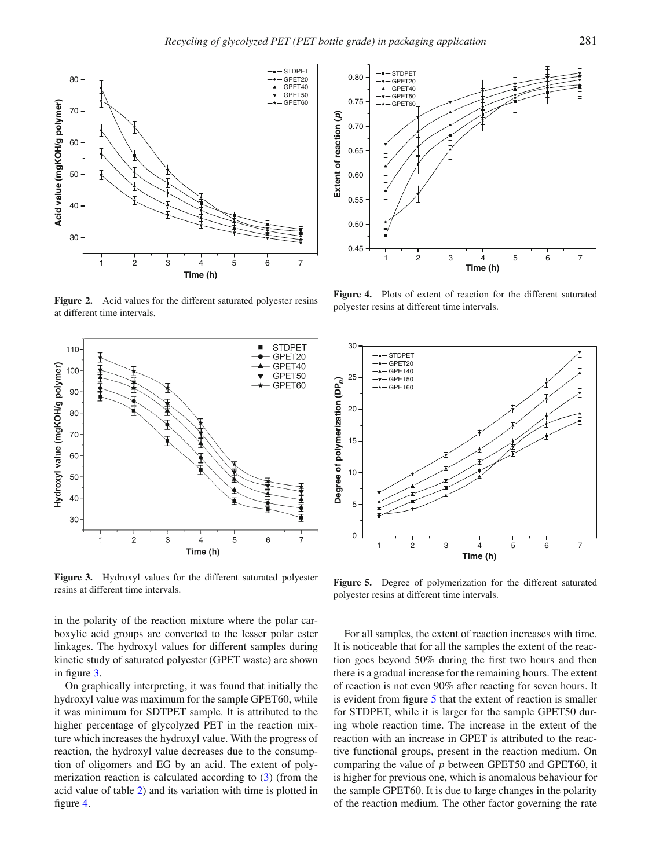<span id="page-4-0"></span>

Figure 2. Acid values for the different saturated polyester resins at different time intervals.

<span id="page-4-1"></span>

**Figure 3.** Hydroxyl values for the different saturated polyester resins at different time intervals.

in the polarity of the reaction mixture where the polar carboxylic acid groups are converted to the lesser polar ester linkages. The hydroxyl values for different samples during kinetic study of saturated polyester (GPET waste) are shown in figure [3.](#page-4-1)

On graphically interpreting, it was found that initially the hydroxyl value was maximum for the sample GPET60, while it was minimum for SDTPET sample. It is attributed to the higher percentage of glycolyzed PET in the reaction mixture which increases the hydroxyl value. With the progress of reaction, the hydroxyl value decreases due to the consumption of oligomers and EG by an acid. The extent of polymerization reaction is calculated according to [\(3\)](#page-2-2) (from the acid value of table [2\)](#page-3-2) and its variation with time is plotted in figure [4.](#page-4-2)

<span id="page-4-2"></span>

**Figure 4.** Plots of extent of reaction for the different saturated polyester resins at different time intervals.

<span id="page-4-3"></span>

**Figure 5.** Degree of polymerization for the different saturated polyester resins at different time intervals.

For all samples, the extent of reaction increases with time. It is noticeable that for all the samples the extent of the reaction goes beyond 50% during the first two hours and then there is a gradual increase for the remaining hours. The extent of reaction is not even 90% after reacting for seven hours. It is evident from figure [5](#page-4-3) that the extent of reaction is smaller for STDPET, while it is larger for the sample GPET50 during whole reaction time. The increase in the extent of the reaction with an increase in GPET is attributed to the reactive functional groups, present in the reaction medium. On comparing the value of *p* between GPET50 and GPET60, it is higher for previous one, which is anomalous behaviour for the sample GPET60. It is due to large changes in the polarity of the reaction medium. The other factor governing the rate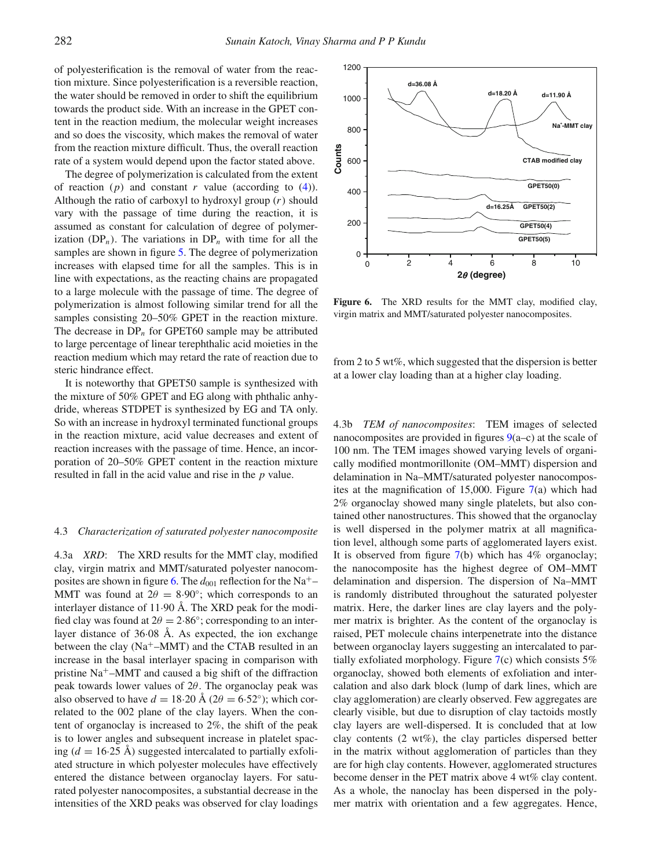of polyesterification is the removal of water from the reaction mixture. Since polyesterification is a reversible reaction, the water should be removed in order to shift the equilibrium towards the product side. With an increase in the GPET content in the reaction medium, the molecular weight increases and so does the viscosity, which makes the removal of water from the reaction mixture difficult. Thus, the overall reaction rate of a system would depend upon the factor stated above.

The degree of polymerization is calculated from the extent of reaction  $(p)$  and constant  $r$  value (according to  $(4)$ ). Although the ratio of carboxyl to hydroxyl group (*r*) should vary with the passage of time during the reaction, it is assumed as constant for calculation of degree of polymerization  $(DP_n)$ . The variations in  $DP_n$  with time for all the samples are shown in figure [5.](#page-4-3) The degree of polymerization increases with elapsed time for all the samples. This is in line with expectations, as the reacting chains are propagated to a large molecule with the passage of time. The degree of polymerization is almost following similar trend for all the samples consisting 20–50% GPET in the reaction mixture. The decrease in  $DP_n$  for GPET60 sample may be attributed to large percentage of linear terephthalic acid moieties in the reaction medium which may retard the rate of reaction due to steric hindrance effect.

It is noteworthy that GPET50 sample is synthesized with the mixture of 50% GPET and EG along with phthalic anhydride, whereas STDPET is synthesized by EG and TA only. So with an increase in hydroxyl terminated functional groups in the reaction mixture, acid value decreases and extent of reaction increases with the passage of time. Hence, an incorporation of 20–50% GPET content in the reaction mixture resulted in fall in the acid value and rise in the *p* value.

#### 4.3 *Characterization of saturated polyester nanocomposite*

4.3a *XRD*: The XRD results for the MMT clay, modified clay, virgin matrix and MMT/saturated polyester nanocom-posites are shown in figure [6.](#page-5-0) The  $d_{001}$  reflection for the Na<sup>+</sup>– MMT was found at  $2\theta = 8.90^\circ$ ; which corresponds to an interlayer distance of 11·90 Å. The XRD peak for the modified clay was found at  $2\theta = 2.86°$ ; corresponding to an interlayer distance of 36·08 Å. As expected, the ion exchange between the clay  $(Na^+$ –MMT) and the CTAB resulted in an increase in the basal interlayer spacing in comparison with pristine  $Na^+$ –MMT and caused a big shift of the diffraction peak towards lower values of  $2\theta$ . The organoclay peak was also observed to have  $d = 18.20 \text{ Å } (2\theta = 6.52^{\circ})$ ; which correlated to the 002 plane of the clay layers. When the content of organoclay is increased to 2%, the shift of the peak is to lower angles and subsequent increase in platelet spacing  $(d = 16.25 \text{ Å})$  suggested intercalated to partially exfoliated structure in which polyester molecules have effectively entered the distance between organoclay layers. For saturated polyester nanocomposites, a substantial decrease in the intensities of the XRD peaks was observed for clay loadings

<span id="page-5-0"></span>

Figure 6. The XRD results for the MMT clay, modified clay, virgin matrix and MMT/saturated polyester nanocomposites.

from 2 to 5 wt%, which suggested that the dispersion is better at a lower clay loading than at a higher clay loading.

4.3b *TEM of nanocomposites*: TEM images of selected nanocomposites are provided in figures  $9(a-c)$  $9(a-c)$  at the scale of 100 nm. The TEM images showed varying levels of organically modified montmorillonite (OM–MMT) dispersion and delamination in Na–MMT/saturated polyester nanocomposites at the magnification of 15,000. Figure  $7(a)$  $7(a)$  which had 2% organoclay showed many single platelets, but also contained other nanostructures. This showed that the organoclay is well dispersed in the polymer matrix at all magnification level, although some parts of agglomerated layers exist. It is observed from figure  $7(b)$  $7(b)$  which has 4% organoclay; the nanocomposite has the highest degree of OM–MMT delamination and dispersion. The dispersion of Na–MMT is randomly distributed throughout the saturated polyester matrix. Here, the darker lines are clay layers and the polymer matrix is brighter. As the content of the organoclay is raised, PET molecule chains interpenetrate into the distance between organoclay layers suggesting an intercalated to partially exfoliated morphology. Figure  $7(c)$  $7(c)$  which consists  $5%$ organoclay, showed both elements of exfoliation and intercalation and also dark block (lump of dark lines, which are clay agglomeration) are clearly observed. Few aggregates are clearly visible, but due to disruption of clay tactoids mostly clay layers are well-dispersed. It is concluded that at low clay contents (2 wt%), the clay particles dispersed better in the matrix without agglomeration of particles than they are for high clay contents. However, agglomerated structures become denser in the PET matrix above 4 wt% clay content. As a whole, the nanoclay has been dispersed in the polymer matrix with orientation and a few aggregates. Hence,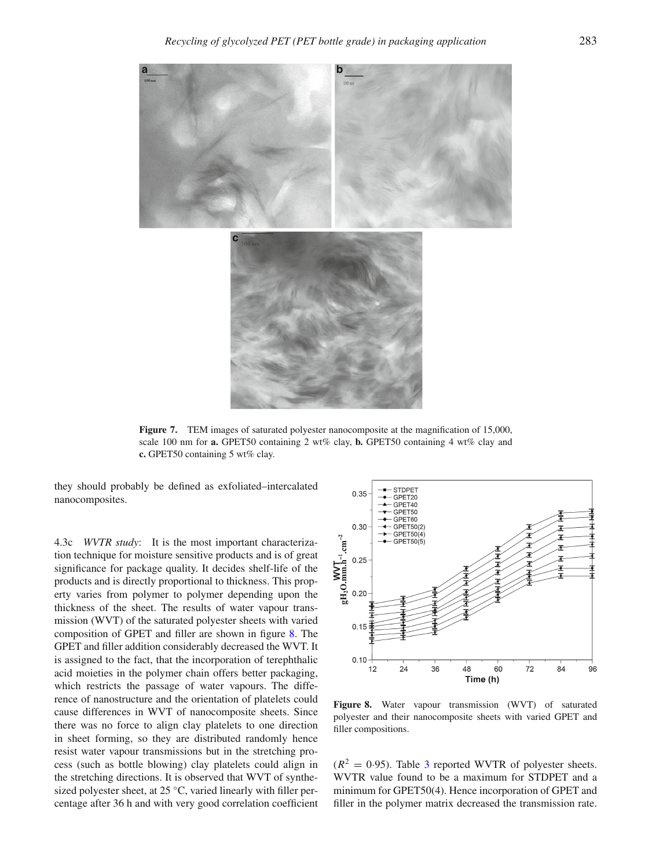<span id="page-6-0"></span>

**Figure 7.** TEM images of saturated polyester nanocomposite at the magnification of 15,000, scale 100 nm for **a.** GPET50 containing 2 wt% clay, **b.** GPET50 containing 4 wt% clay and **c.** GPET50 containing 5 wt% clay.

they should probably be defined as exfoliated–intercalated nanocomposites.

4.3c *WVTR study*: It is the most important characterization technique for moisture sensitive products and is of great significance for package quality. It decides shelf-life of the products and is directly proportional to thickness. This property varies from polymer to polymer depending upon the thickness of the sheet. The results of water vapour transmission (WVT) of the saturated polyester sheets with varied composition of GPET and filler are shown in figure [8.](#page-6-1) The GPET and filler addition considerably decreased the WVT. It is assigned to the fact, that the incorporation of terephthalic acid moieties in the polymer chain offers better packaging, which restricts the passage of water vapours. The difference of nanostructure and the orientation of platelets could cause differences in WVT of nanocomposite sheets. Since there was no force to align clay platelets to one direction in sheet forming, so they are distributed randomly hence resist water vapour transmissions but in the stretching process (such as bottle blowing) clay platelets could align in the stretching directions. It is observed that WVT of synthesized polyester sheet, at 25 ℃, varied linearly with filler percentage after 36 h and with very good correlation coefficient

<span id="page-6-1"></span>

**Figure 8.** Water vapour transmission (WVT) of saturated polyester and their nanocomposite sheets with varied GPET and filler compositions.

 $(R^2 = 0.95)$ . Table [3](#page-7-1) reported WVTR of polyester sheets. WVTR value found to be a maximum for STDPET and a minimum for GPET50(4). Hence incorporation of GPET and filler in the polymer matrix decreased the transmission rate.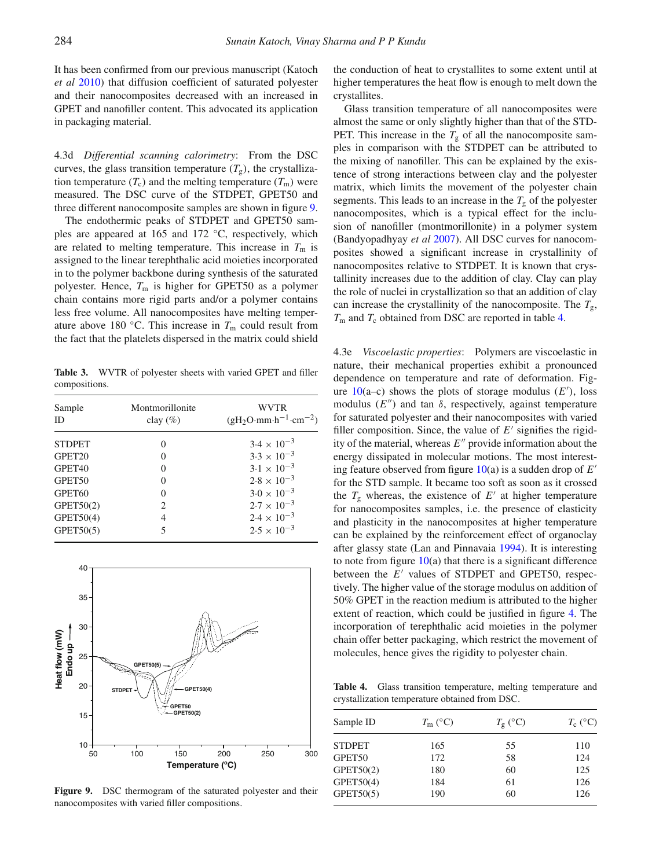It has been confirmed from our previous manuscript (Katoch *et a[l](#page-9-20)* [2010\)](#page-9-20) that diffusion coefficient of saturated polyester and their nanocomposites decreased with an increased in GPET and nanofiller content. This advocated its application in packaging material.

4.3d *Differential scanning calorimetry*: From the DSC curves, the glass transition temperature  $(T_g)$ , the crystallization temperature  $(T_c)$  and the melting temperature  $(T_m)$  were measured. The DSC curve of the STDPET, GPET50 and three different nanocomposite samples are shown in figure [9.](#page-7-0)

The endothermic peaks of STDPET and GPET50 samples are appeared at 165 and 172 ◦C, respectively, which are related to melting temperature. This increase in  $T<sub>m</sub>$  is assigned to the linear terephthalic acid moieties incorporated in to the polymer backbone during synthesis of the saturated polyester. Hence,  $T_m$  is higher for GPET50 as a polymer chain contains more rigid parts and/or a polymer contains less free volume. All nanocomposites have melting temperature above 180 °C. This increase in  $T<sub>m</sub>$  could result from the fact that the platelets dispersed in the matrix could shield

<span id="page-7-1"></span>**Table 3.** WVTR of polyester sheets with varied GPET and filler compositions.

| Sample<br>ID.      | Montmorillonite<br>clay $(\% )$ | <b>WVTR</b><br>$(gH2O·mm·h-1·cm-2)$ |
|--------------------|---------------------------------|-------------------------------------|
| <b>STDPET</b>      | $\mathbf{\Omega}$               | $3.4 \times 10^{-3}$                |
| GPET <sub>20</sub> | 0                               | $3.3 \times 10^{-3}$                |
| GPET <sub>40</sub> | 0                               | $3.1 \times 10^{-3}$                |
| GPET <sub>50</sub> | 0                               | $2.8 \times 10^{-3}$                |
| GPET <sub>60</sub> | $\mathbf{\Omega}$               | $3.0 \times 10^{-3}$                |
| GPET50(2)          | 2                               | $2.7 \times 10^{-3}$                |
| GPET50(4)          | 4                               | $2.4 \times 10^{-3}$                |
| GPET50(5)          | 5                               | $2.5 \times 10^{-3}$                |

<span id="page-7-0"></span>

**Figure 9.** DSC thermogram of the saturated polyester and their nanocomposites with varied filler compositions.

the conduction of heat to crystallites to some extent until at higher temperatures the heat flow is enough to melt down the crystallites.

Glass transition temperature of all nanocomposites were almost the same or only slightly higher than that of the STD-PET. This increase in the  $T_g$  of all the nanocomposite samples in comparison with the STDPET can be attributed to the mixing of nanofiller. This can be explained by the existence of strong interactions between clay and the polyester matrix, which limits the movement of the polyester chain segments. This leads to an increase in the  $T_g$  of the polyester nanocomposites, which is a typical effect for the inclusion of nanofiller (montmorillonite) in a polymer system (Bandyopadhyay *et a[l](#page-9-21)* [2007](#page-9-21)). All DSC curves for nanocomposites showed a significant increase in crystallinity of nanocomposites relative to STDPET. It is known that crystallinity increases due to the addition of clay. Clay can play the role of nuclei in crystallization so that an addition of clay can increase the crystallinity of the nanocomposite. The  $T_{\rm g}$ ,  $T<sub>m</sub>$  and  $T<sub>c</sub>$  obtained from DSC are reported in table [4.](#page-7-2)

4.3e *Viscoelastic properties*: Polymers are viscoelastic in nature, their mechanical properties exhibit a pronounced dependence on temperature and rate of deformation. Figure  $10(a-c)$  $10(a-c)$  shows the plots of storage modulus  $(E')$ , loss modulus  $(E'')$  and tan  $\delta$ , respectively, against temperature for saturated polyester and their nanocomposites with varied filler composition. Since, the value of  $E'$  signifies the rigidity of the material, whereas  $E''$  provide information about the energy dissipated in molecular motions. The most interesting feature observed from figure  $10(a)$  $10(a)$  is a sudden drop of  $E'$ for the STD sample. It became too soft as soon as it crossed the  $T_g$  whereas, the existence of  $E'$  at higher temperature for nanocomposites samples, i.e. the presence of elasticity and plasticity in the nanocomposites at higher temperature can be explained by the reinforcement effect of organoclay after glassy state (Lan and Pinnavai[a](#page-9-22) [1994](#page-9-22)). It is interesting to note from figure  $10(a)$  $10(a)$  that there is a significant difference between the  $E'$  values of STDPET and GPET50, respectively. The higher value of the storage modulus on addition of 50% GPET in the reaction medium is attributed to the higher extent of reaction, which could be justified in figure [4.](#page-4-2) The incorporation of terephthalic acid moieties in the polymer chain offer better packaging, which restrict the movement of molecules, hence gives the rigidity to polyester chain.

<span id="page-7-2"></span>**Table 4.** Glass transition temperature, melting temperature and crystallization temperature obtained from DSC.

| Sample ID          | $T_{\rm m}$ (°C) | $T_{\rm g}$ (°C) | $T_c$ (°C) |
|--------------------|------------------|------------------|------------|
| <b>STDPET</b>      | 165              | 55               | 110        |
| GPET <sub>50</sub> | 172              | 58               | 124        |
| GPET50(2)          | 180              | 60               | 125        |
| GPET50(4)          | 184              | 61               | 126        |
| GPET50(5)          | 190              | 60               | 126        |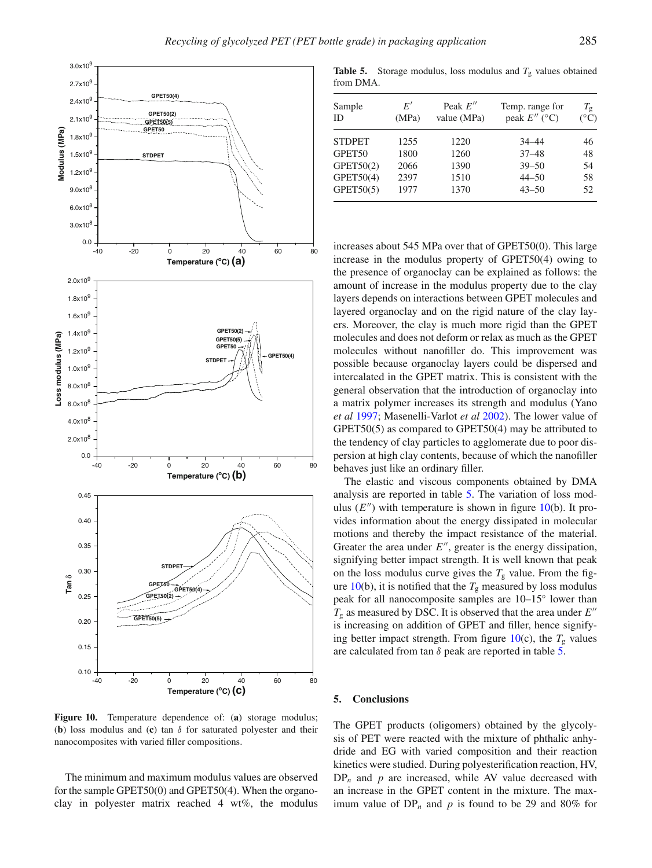<span id="page-8-0"></span>

**Figure 10.** Temperature dependence of: (**a**) storage modulus; (**b**) loss modulus and (**c**) tan δ for saturated polyester and their nanocomposites with varied filler compositions.

The minimum and maximum modulus values are observed for the sample GPET50(0) and GPET50(4). When the organoclay in polyester matrix reached 4 wt%, the modulus

<span id="page-8-1"></span>**Table 5.** Storage modulus, loss modulus and  $T_g$  values obtained from DMA.

| Sample<br>ID  | E'<br>(MPa) | Peak $E''$<br>value (MPa) | Temp. range for<br>peak $E''$ (°C) | $T_{\rm g}$<br>$(^{\circ}C)$ |
|---------------|-------------|---------------------------|------------------------------------|------------------------------|
| <b>STDPET</b> | 1255        | 1220                      | $34 - 44$                          | 46                           |
| GPET50        | 1800        | 1260                      | $37 - 48$                          | 48                           |
| GPET50(2)     | 2066        | 1390                      | $39 - 50$                          | 54                           |
| GPET50(4)     | 2397        | 1510                      | $44 - 50$                          | 58                           |
| GPET50(5)     | 1977        | 1370                      | $43 - 50$                          | 52                           |

increases about 545 MPa over that of GPET50(0). This large increase in the modulus property of GPET50(4) owing to the presence of organoclay can be explained as follows: the amount of increase in the modulus property due to the clay layers depends on interactions between GPET molecules and layered organoclay and on the rigid nature of the clay layers. Moreover, the clay is much more rigid than the GPET molecules and does not deform or relax as much as the GPET molecules without nanofiller do. This improvement was possible because organoclay layers could be dispersed and intercalated in the GPET matrix. This is consistent with the general observation that the introduction of organoclay into a matrix polymer increases its strength and modulus (Yano *et a[l](#page-9-23)* [1997](#page-9-23); Masenelli-Varlot *et a[l](#page-9-24)* [2002](#page-9-24)). The lower value of GPET50(5) as compared to GPET50(4) may be attributed to the tendency of clay particles to agglomerate due to poor dispersion at high clay contents, because of which the nanofiller behaves just like an ordinary filler.

The elastic and viscous components obtained by DMA analysis are reported in table [5.](#page-8-1) The variation of loss modulus  $(E'')$  with temperature is shown in figure [10\(](#page-8-0)b). It provides information about the energy dissipated in molecular motions and thereby the impact resistance of the material. Greater the area under  $E''$ , greater is the energy dissipation, signifying better impact strength. It is well known that peak on the loss modulus curve gives the  $T_g$  value. From the fig-ure [10\(](#page-8-0)b), it is notified that the  $T_g$  measured by loss modulus peak for all nanocomposite samples are 10–15◦ lower than  $T_g$  as measured by DSC. It is observed that the area under  $E''$ is increasing on addition of GPET and filler, hence signifying better impact strength. From figure  $10(c)$  $10(c)$ , the  $T_g$  values are calculated from tan  $\delta$  peak are reported in table [5.](#page-8-1)

#### **5. Conclusions**

The GPET products (oligomers) obtained by the glycolysis of PET were reacted with the mixture of phthalic anhydride and EG with varied composition and their reaction kinetics were studied. During polyesterification reaction, HV, DP*<sup>n</sup>* and *p* are increased, while AV value decreased with an increase in the GPET content in the mixture. The maximum value of  $DP_n$  and p is found to be 29 and 80% for